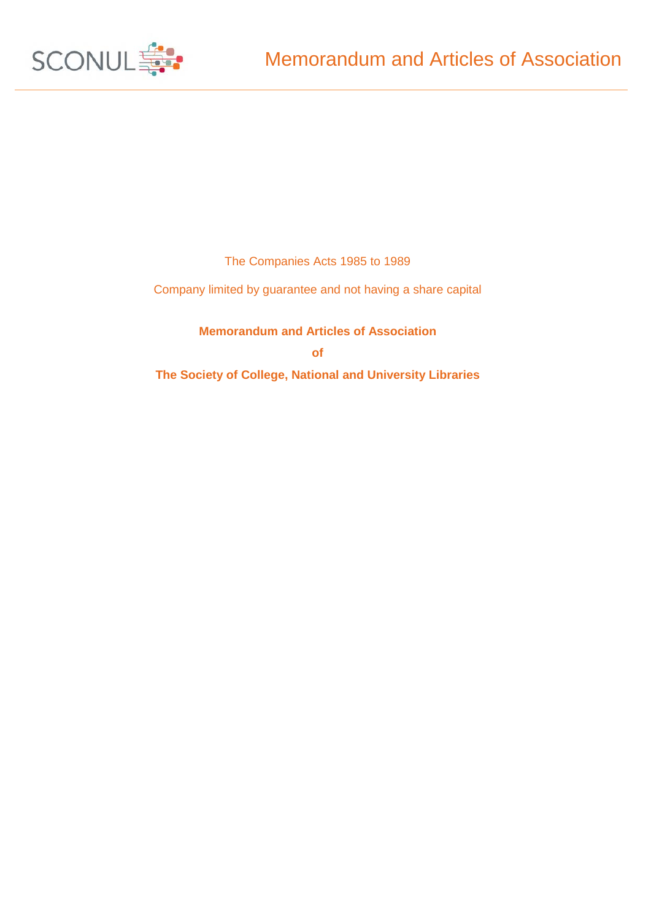

The Companies Acts 1985 to 1989

Company limited by guarantee and not having a share capital

**Memorandum and Articles of Association of The Society of College, National and University Libraries**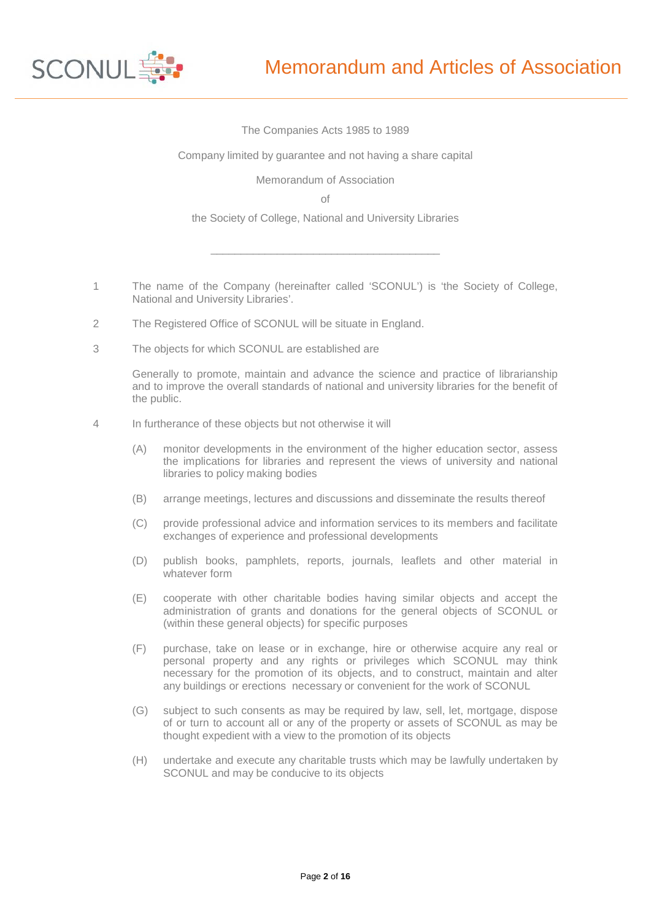

#### The Companies Acts 1985 to 1989

Company limited by guarantee and not having a share capital

Memorandum of Association

of

the Society of College, National and University Libraries

 $\overline{\phantom{a}}$  , and the set of the set of the set of the set of the set of the set of the set of the set of the set of the set of the set of the set of the set of the set of the set of the set of the set of the set of the s

- 1 The name of the Company (hereinafter called 'SCONUL') is 'the Society of College, National and University Libraries'.
- 2 The Registered Office of SCONUL will be situate in England.
- 3 The objects for which SCONUL are established are

Generally to promote, maintain and advance the science and practice of librarianship and to improve the overall standards of national and university libraries for the benefit of the public.

- 4 In furtherance of these objects but not otherwise it will
	- (A) monitor developments in the environment of the higher education sector, assess the implications for libraries and represent the views of university and national libraries to policy making bodies
	- (B) arrange meetings, lectures and discussions and disseminate the results thereof
	- (C) provide professional advice and information services to its members and facilitate exchanges of experience and professional developments
	- (D) publish books, pamphlets, reports, journals, leaflets and other material in whatever form
	- (E) cooperate with other charitable bodies having similar objects and accept the administration of grants and donations for the general objects of SCONUL or (within these general objects) for specific purposes
	- (F) purchase, take on lease or in exchange, hire or otherwise acquire any real or personal property and any rights or privileges which SCONUL may think necessary for the promotion of its objects, and to construct, maintain and alter any buildings or erections necessary or convenient for the work of SCONUL
	- (G) subject to such consents as may be required by law, sell, let, mortgage, dispose of or turn to account all or any of the property or assets of SCONUL as may be thought expedient with a view to the promotion of its objects
	- (H) undertake and execute any charitable trusts which may be lawfully undertaken by SCONUL and may be conducive to its objects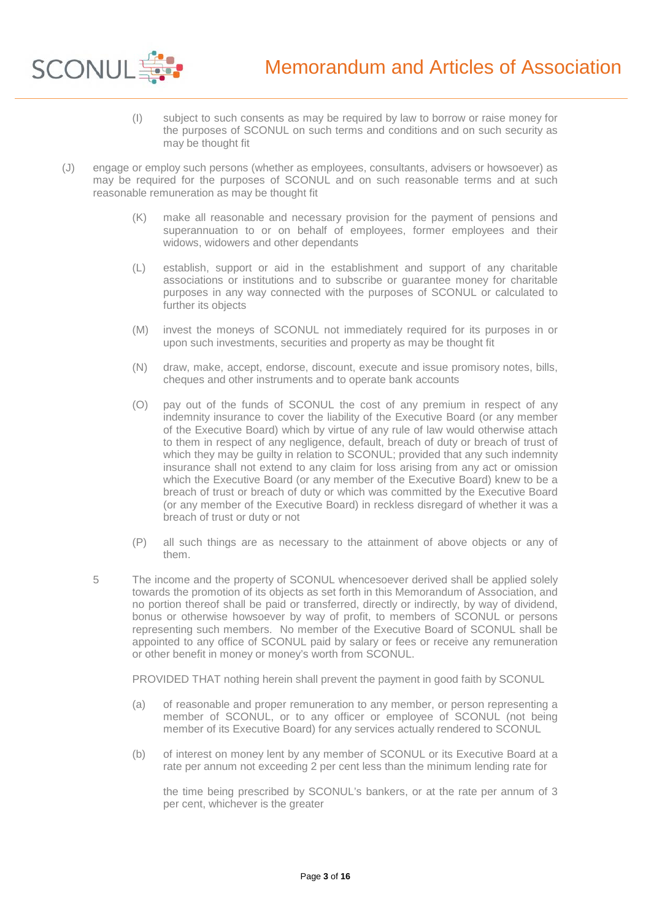

- (I) subject to such consents as may be required by law to borrow or raise money for the purposes of SCONUL on such terms and conditions and on such security as may be thought fit
- (J) engage or employ such persons (whether as employees, consultants, advisers or howsoever) as may be required for the purposes of SCONUL and on such reasonable terms and at such reasonable remuneration as may be thought fit
	- (K) make all reasonable and necessary provision for the payment of pensions and superannuation to or on behalf of employees, former employees and their widows, widowers and other dependants
	- (L) establish, support or aid in the establishment and support of any charitable associations or institutions and to subscribe or guarantee money for charitable purposes in any way connected with the purposes of SCONUL or calculated to further its objects
	- (M) invest the moneys of SCONUL not immediately required for its purposes in or upon such investments, securities and property as may be thought fit
	- (N) draw, make, accept, endorse, discount, execute and issue promisory notes, bills, cheques and other instruments and to operate bank accounts
	- (O) pay out of the funds of SCONUL the cost of any premium in respect of any indemnity insurance to cover the liability of the Executive Board (or any member of the Executive Board) which by virtue of any rule of law would otherwise attach to them in respect of any negligence, default, breach of duty or breach of trust of which they may be guilty in relation to SCONUL; provided that any such indemnity insurance shall not extend to any claim for loss arising from any act or omission which the Executive Board (or any member of the Executive Board) knew to be a breach of trust or breach of duty or which was committed by the Executive Board (or any member of the Executive Board) in reckless disregard of whether it was a breach of trust or duty or not
	- (P) all such things are as necessary to the attainment of above objects or any of them.
	- 5 The income and the property of SCONUL whencesoever derived shall be applied solely towards the promotion of its objects as set forth in this Memorandum of Association, and no portion thereof shall be paid or transferred, directly or indirectly, by way of dividend, bonus or otherwise howsoever by way of profit, to members of SCONUL or persons representing such members. No member of the Executive Board of SCONUL shall be appointed to any office of SCONUL paid by salary or fees or receive any remuneration or other benefit in money or money's worth from SCONUL.

PROVIDED THAT nothing herein shall prevent the payment in good faith by SCONUL

- (a) of reasonable and proper remuneration to any member, or person representing a member of SCONUL, or to any officer or employee of SCONUL (not being member of its Executive Board) for any services actually rendered to SCONUL
- (b) of interest on money lent by any member of SCONUL or its Executive Board at a rate per annum not exceeding 2 per cent less than the minimum lending rate for

the time being prescribed by SCONUL's bankers, or at the rate per annum of 3 per cent, whichever is the greater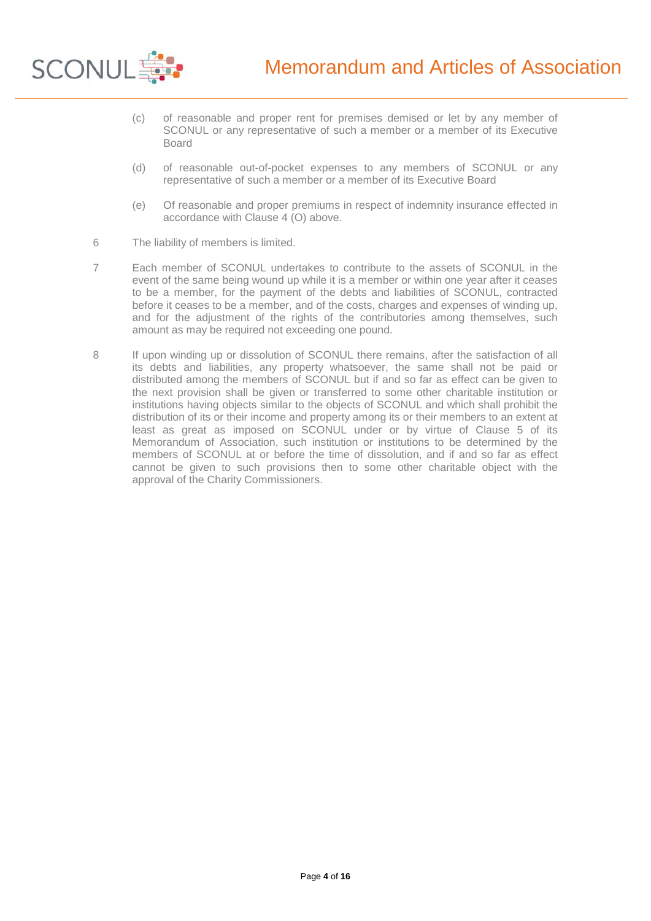

- (c) of reasonable and proper rent for premises demised or let by any member of SCONUL or any representative of such a member or a member of its Executive Board
- (d) of reasonable out-of-pocket expenses to any members of SCONUL or any representative of such a member or a member of its Executive Board
- (e) Of reasonable and proper premiums in respect of indemnity insurance effected in accordance with Clause 4 (O) above.
- 6 The liability of members is limited.
- 7 Each member of SCONUL undertakes to contribute to the assets of SCONUL in the event of the same being wound up while it is a member or within one year after it ceases to be a member, for the payment of the debts and liabilities of SCONUL, contracted before it ceases to be a member, and of the costs, charges and expenses of winding up, and for the adjustment of the rights of the contributories among themselves, such amount as may be required not exceeding one pound.
- 8 If upon winding up or dissolution of SCONUL there remains, after the satisfaction of all its debts and liabilities, any property whatsoever, the same shall not be paid or distributed among the members of SCONUL but if and so far as effect can be given to the next provision shall be given or transferred to some other charitable institution or institutions having objects similar to the objects of SCONUL and which shall prohibit the distribution of its or their income and property among its or their members to an extent at least as great as imposed on SCONUL under or by virtue of Clause 5 of its Memorandum of Association, such institution or institutions to be determined by the members of SCONUL at or before the time of dissolution, and if and so far as effect cannot be given to such provisions then to some other charitable object with the approval of the Charity Commissioners.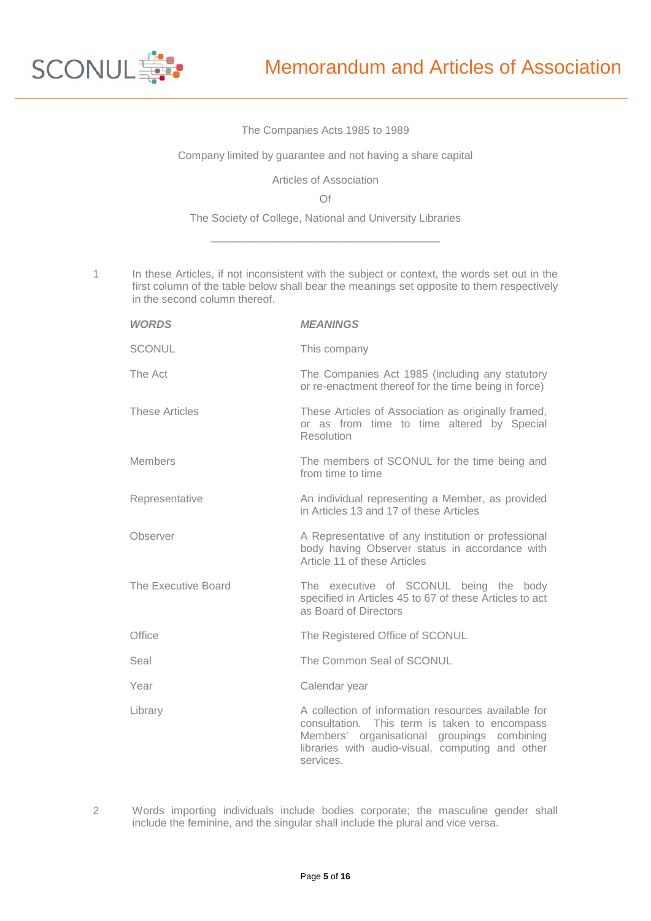

## The Companies Acts 1985 to 1989

Company limited by guarantee and not having a share capital

Articles of Association

Of

The Society of College, National and University Libraries  $\overline{\phantom{a}}$  , and the set of the set of the set of the set of the set of the set of the set of the set of the set of the set of the set of the set of the set of the set of the set of the set of the set of the set of the s

1 In these Articles, if not inconsistent with the subject or context, the words set out in the first column of the table below shall bear the meanings set opposite to them respectively in the second column thereof.

| <b>WORDS</b>          | <b>MEANINGS</b>                                                                                                                                                                                                      |
|-----------------------|----------------------------------------------------------------------------------------------------------------------------------------------------------------------------------------------------------------------|
| <b>SCONUL</b>         | This company                                                                                                                                                                                                         |
| The Act               | The Companies Act 1985 (including any statutory<br>or re-enactment thereof for the time being in force)                                                                                                              |
| <b>These Articles</b> | These Articles of Association as originally framed,<br>or as from time to time altered by Special<br><b>Resolution</b>                                                                                               |
| <b>Members</b>        | The members of SCONUL for the time being and<br>from time to time                                                                                                                                                    |
| Representative        | An individual representing a Member, as provided<br>in Articles 13 and 17 of these Articles                                                                                                                          |
| Observer              | A Representative of any institution or professional<br>body having Observer status in accordance with<br>Article 11 of these Articles                                                                                |
| The Executive Board   | The executive of SCONUL being the body<br>specified in Articles 45 to 67 of these Articles to act<br>as Board of Directors                                                                                           |
| Office                | The Registered Office of SCONUL                                                                                                                                                                                      |
| Seal                  | The Common Seal of SCONUL                                                                                                                                                                                            |
| Year                  | Calendar year                                                                                                                                                                                                        |
| Library               | A collection of information resources available for<br>consultation. This term is taken to encompass<br>Members' organisational groupings combining<br>libraries with audio-visual, computing and other<br>services. |

2 Words importing individuals include bodies corporate; the masculine gender shall include the feminine, and the singular shall include the plural and vice versa.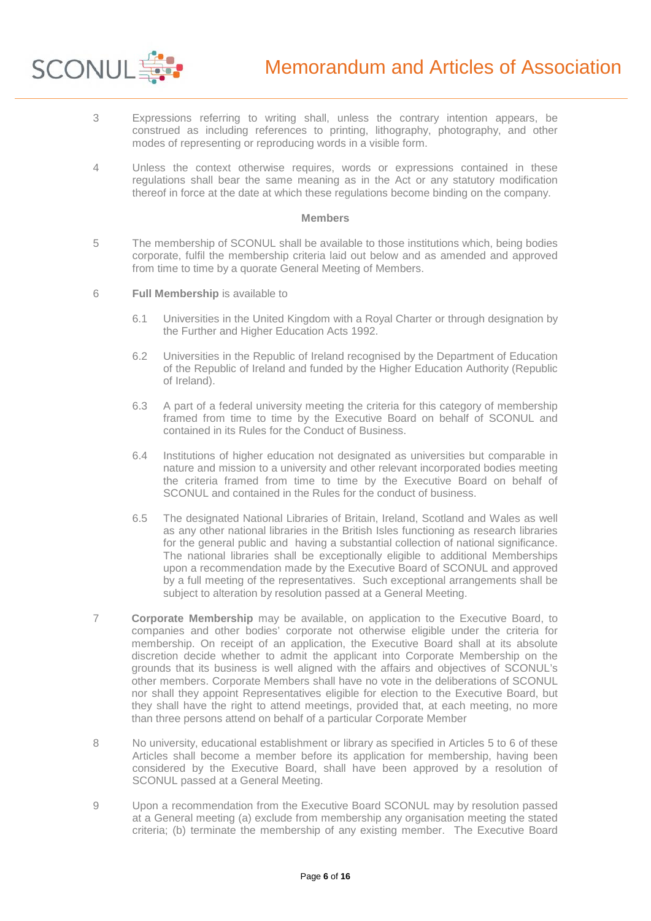

- 3 Expressions referring to writing shall, unless the contrary intention appears, be construed as including references to printing, lithography, photography, and other modes of representing or reproducing words in a visible form.
- 4 Unless the context otherwise requires, words or expressions contained in these regulations shall bear the same meaning as in the Act or any statutory modification thereof in force at the date at which these regulations become binding on the company.

#### **Members**

- 5 The membership of SCONUL shall be available to those institutions which, being bodies corporate, fulfil the membership criteria laid out below and as amended and approved from time to time by a quorate General Meeting of Members.
- 6 **Full Membership** is available to
	- 6.1 Universities in the United Kingdom with a Royal Charter or through designation by the Further and Higher Education Acts 1992.
	- 6.2 Universities in the Republic of Ireland recognised by the Department of Education of the Republic of Ireland and funded by the Higher Education Authority (Republic of Ireland).
	- 6.3 A part of a federal university meeting the criteria for this category of membership framed from time to time by the Executive Board on behalf of SCONUL and contained in its Rules for the Conduct of Business.
	- 6.4 Institutions of higher education not designated as universities but comparable in nature and mission to a university and other relevant incorporated bodies meeting the criteria framed from time to time by the Executive Board on behalf of SCONUL and contained in the Rules for the conduct of business.
	- 6.5 The designated National Libraries of Britain, Ireland, Scotland and Wales as well as any other national libraries in the British Isles functioning as research libraries for the general public and having a substantial collection of national significance. The national libraries shall be exceptionally eligible to additional Memberships upon a recommendation made by the Executive Board of SCONUL and approved by a full meeting of the representatives. Such exceptional arrangements shall be subject to alteration by resolution passed at a General Meeting.
- 7 **Corporate Membership** may be available, on application to the Executive Board, to companies and other bodies' corporate not otherwise eligible under the criteria for membership. On receipt of an application, the Executive Board shall at its absolute discretion decide whether to admit the applicant into Corporate Membership on the grounds that its business is well aligned with the affairs and objectives of SCONUL's other members. Corporate Members shall have no vote in the deliberations of SCONUL nor shall they appoint Representatives eligible for election to the Executive Board, but they shall have the right to attend meetings, provided that, at each meeting, no more than three persons attend on behalf of a particular Corporate Member
- 8 No university, educational establishment or library as specified in Articles 5 to 6 of these Articles shall become a member before its application for membership, having been considered by the Executive Board, shall have been approved by a resolution of SCONUL passed at a General Meeting.
- 9 Upon a recommendation from the Executive Board SCONUL may by resolution passed at a General meeting (a) exclude from membership any organisation meeting the stated criteria; (b) terminate the membership of any existing member. The Executive Board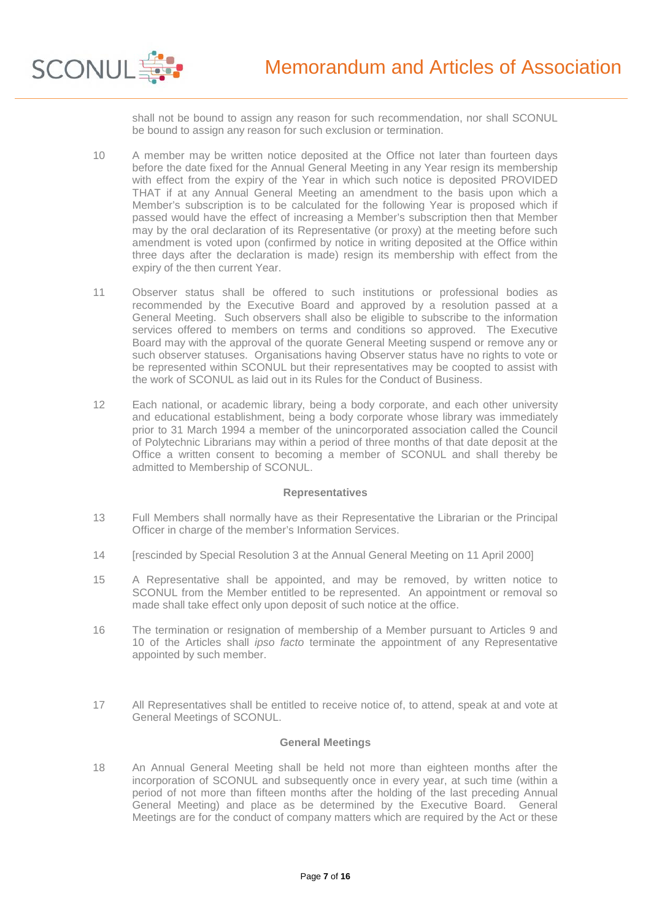

shall not be bound to assign any reason for such recommendation, nor shall SCONUL be bound to assign any reason for such exclusion or termination.

- 10 A member may be written notice deposited at the Office not later than fourteen days before the date fixed for the Annual General Meeting in any Year resign its membership with effect from the expiry of the Year in which such notice is deposited PROVIDED THAT if at any Annual General Meeting an amendment to the basis upon which a Member's subscription is to be calculated for the following Year is proposed which if passed would have the effect of increasing a Member's subscription then that Member may by the oral declaration of its Representative (or proxy) at the meeting before such amendment is voted upon (confirmed by notice in writing deposited at the Office within three days after the declaration is made) resign its membership with effect from the expiry of the then current Year.
- 11 Observer status shall be offered to such institutions or professional bodies as recommended by the Executive Board and approved by a resolution passed at a General Meeting. Such observers shall also be eligible to subscribe to the information services offered to members on terms and conditions so approved. The Executive Board may with the approval of the quorate General Meeting suspend or remove any or such observer statuses. Organisations having Observer status have no rights to vote or be represented within SCONUL but their representatives may be coopted to assist with the work of SCONUL as laid out in its Rules for the Conduct of Business.
- 12 Each national, or academic library, being a body corporate, and each other university and educational establishment, being a body corporate whose library was immediately prior to 31 March 1994 a member of the unincorporated association called the Council of Polytechnic Librarians may within a period of three months of that date deposit at the Office a written consent to becoming a member of SCONUL and shall thereby be admitted to Membership of SCONUL.

### **Representatives**

- 13 Full Members shall normally have as their Representative the Librarian or the Principal Officer in charge of the member's Information Services.
- 14 [rescinded by Special Resolution 3 at the Annual General Meeting on 11 April 2000]
- 15 A Representative shall be appointed, and may be removed, by written notice to SCONUL from the Member entitled to be represented. An appointment or removal so made shall take effect only upon deposit of such notice at the office.
- 16 The termination or resignation of membership of a Member pursuant to Articles 9 and 10 of the Articles shall *ipso facto* terminate the appointment of any Representative appointed by such member.
- 17 All Representatives shall be entitled to receive notice of, to attend, speak at and vote at General Meetings of SCONUL.

### **General Meetings**

18 An Annual General Meeting shall be held not more than eighteen months after the incorporation of SCONUL and subsequently once in every year, at such time (within a period of not more than fifteen months after the holding of the last preceding Annual General Meeting) and place as be determined by the Executive Board. General Meetings are for the conduct of company matters which are required by the Act or these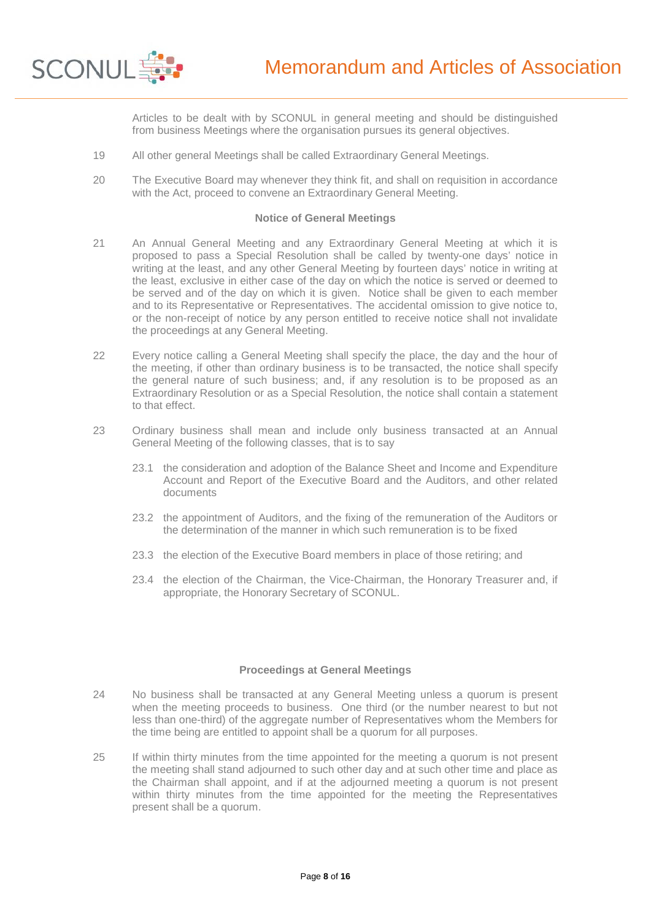

Articles to be dealt with by SCONUL in general meeting and should be distinguished from business Meetings where the organisation pursues its general objectives.

- 19 All other general Meetings shall be called Extraordinary General Meetings.
- 20 The Executive Board may whenever they think fit, and shall on requisition in accordance with the Act, proceed to convene an Extraordinary General Meeting.

#### **Notice of General Meetings**

- 21 An Annual General Meeting and any Extraordinary General Meeting at which it is proposed to pass a Special Resolution shall be called by twenty-one days' notice in writing at the least, and any other General Meeting by fourteen days' notice in writing at the least, exclusive in either case of the day on which the notice is served or deemed to be served and of the day on which it is given. Notice shall be given to each member and to its Representative or Representatives. The accidental omission to give notice to, or the non-receipt of notice by any person entitled to receive notice shall not invalidate the proceedings at any General Meeting.
- 22 Every notice calling a General Meeting shall specify the place, the day and the hour of the meeting, if other than ordinary business is to be transacted, the notice shall specify the general nature of such business; and, if any resolution is to be proposed as an Extraordinary Resolution or as a Special Resolution, the notice shall contain a statement to that effect.
- 23 Ordinary business shall mean and include only business transacted at an Annual General Meeting of the following classes, that is to say
	- 23.1 the consideration and adoption of the Balance Sheet and Income and Expenditure Account and Report of the Executive Board and the Auditors, and other related documents
	- 23.2 the appointment of Auditors, and the fixing of the remuneration of the Auditors or the determination of the manner in which such remuneration is to be fixed
	- 23.3 the election of the Executive Board members in place of those retiring; and
	- 23.4 the election of the Chairman, the Vice-Chairman, the Honorary Treasurer and, if appropriate, the Honorary Secretary of SCONUL.

### **Proceedings at General Meetings**

- 24 No business shall be transacted at any General Meeting unless a quorum is present when the meeting proceeds to business. One third (or the number nearest to but not less than one-third) of the aggregate number of Representatives whom the Members for the time being are entitled to appoint shall be a quorum for all purposes.
- 25 If within thirty minutes from the time appointed for the meeting a quorum is not present the meeting shall stand adjourned to such other day and at such other time and place as the Chairman shall appoint, and if at the adjourned meeting a quorum is not present within thirty minutes from the time appointed for the meeting the Representatives present shall be a quorum.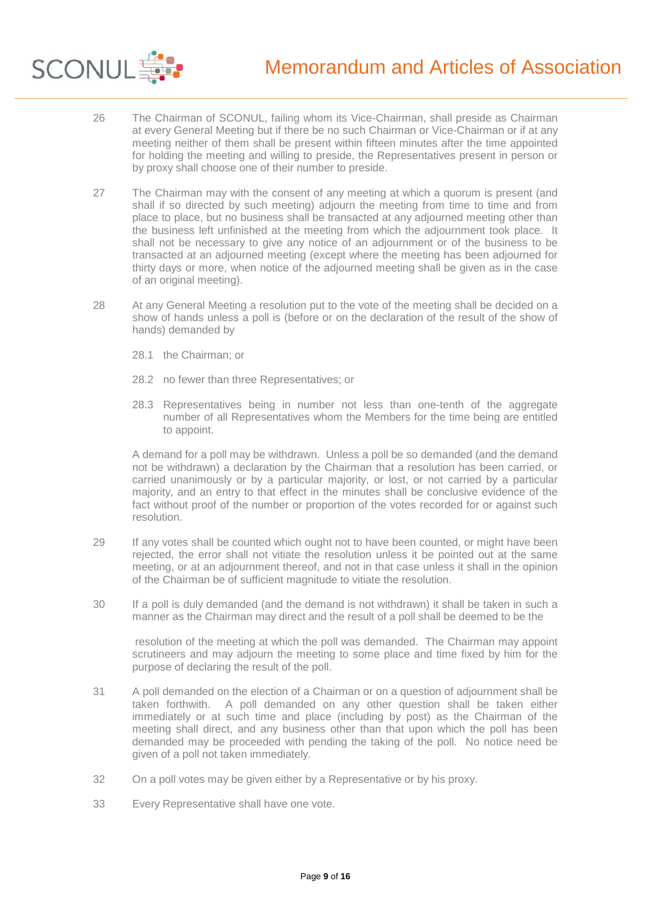

- 26 The Chairman of SCONUL, failing whom its Vice-Chairman, shall preside as Chairman at every General Meeting but if there be no such Chairman or Vice-Chairman or if at any meeting neither of them shall be present within fifteen minutes after the time appointed for holding the meeting and willing to preside, the Representatives present in person or by proxy shall choose one of their number to preside.
- 27 The Chairman may with the consent of any meeting at which a quorum is present (and shall if so directed by such meeting) adjourn the meeting from time to time and from place to place, but no business shall be transacted at any adjourned meeting other than the business left unfinished at the meeting from which the adjournment took place. It shall not be necessary to give any notice of an adjournment or of the business to be transacted at an adjourned meeting (except where the meeting has been adjourned for thirty days or more, when notice of the adjourned meeting shall be given as in the case of an original meeting).
- 28 At any General Meeting a resolution put to the vote of the meeting shall be decided on a show of hands unless a poll is (before or on the declaration of the result of the show of hands) demanded by
	- 28.1 the Chairman; or
	- 28.2 no fewer than three Representatives; or
	- 28.3 Representatives being in number not less than one-tenth of the aggregate number of all Representatives whom the Members for the time being are entitled to appoint.

A demand for a poll may be withdrawn. Unless a poll be so demanded (and the demand not be withdrawn) a declaration by the Chairman that a resolution has been carried, or carried unanimously or by a particular majority, or lost, or not carried by a particular majority, and an entry to that effect in the minutes shall be conclusive evidence of the fact without proof of the number or proportion of the votes recorded for or against such resolution.

- 29 If any votes shall be counted which ought not to have been counted, or might have been rejected, the error shall not vitiate the resolution unless it be pointed out at the same meeting, or at an adjournment thereof, and not in that case unless it shall in the opinion of the Chairman be of sufficient magnitude to vitiate the resolution.
- 30 If a poll is duly demanded (and the demand is not withdrawn) it shall be taken in such a manner as the Chairman may direct and the result of a poll shall be deemed to be the

 resolution of the meeting at which the poll was demanded. The Chairman may appoint scrutineers and may adjourn the meeting to some place and time fixed by him for the purpose of declaring the result of the poll.

- 31 A poll demanded on the election of a Chairman or on a question of adjournment shall be taken forthwith. A poll demanded on any other question shall be taken either immediately or at such time and place (including by post) as the Chairman of the meeting shall direct, and any business other than that upon which the poll has been demanded may be proceeded with pending the taking of the poll. No notice need be given of a poll not taken immediately.
- 32 On a poll votes may be given either by a Representative or by his proxy.
- 33 Every Representative shall have one vote.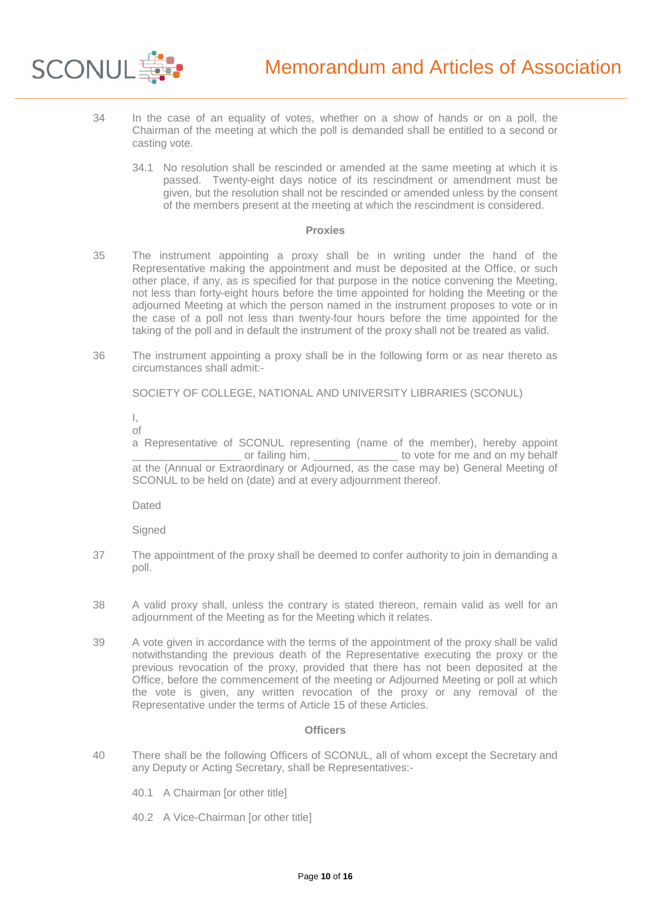

- 34 In the case of an equality of votes, whether on a show of hands or on a poll, the Chairman of the meeting at which the poll is demanded shall be entitled to a second or casting vote.
	- 34.1 No resolution shall be rescinded or amended at the same meeting at which it is passed. Twenty-eight days notice of its rescindment or amendment must be given, but the resolution shall not be rescinded or amended unless by the consent of the members present at the meeting at which the rescindment is considered.

#### **Proxies**

- 35 The instrument appointing a proxy shall be in writing under the hand of the Representative making the appointment and must be deposited at the Office, or such other place, if any, as is specified for that purpose in the notice convening the Meeting, not less than forty-eight hours before the time appointed for holding the Meeting or the adjourned Meeting at which the person named in the instrument proposes to vote or in the case of a poll not less than twenty-four hours before the time appointed for the taking of the poll and in default the instrument of the proxy shall not be treated as valid.
- 36 The instrument appointing a proxy shall be in the following form or as near thereto as circumstances shall admit:-

SOCIETY OF COLLEGE, NATIONAL AND UNIVERSITY LIBRARIES (SCONUL)

I, of

a Representative of SCONUL representing (name of the member), hereby appoint  $\Box$  to vote for me and on my behalf at the (Annual or Extraordinary or Adjourned, as the case may be) General Meeting of SCONUL to be held on (date) and at every adjournment thereof.

Dated

**Signed** 

- 37 The appointment of the proxy shall be deemed to confer authority to join in demanding a poll.
- 38 A valid proxy shall, unless the contrary is stated thereon, remain valid as well for an adjournment of the Meeting as for the Meeting which it relates.
- 39 A vote given in accordance with the terms of the appointment of the proxy shall be valid notwithstanding the previous death of the Representative executing the proxy or the previous revocation of the proxy, provided that there has not been deposited at the Office, before the commencement of the meeting or Adjourned Meeting or poll at which the vote is given, any written revocation of the proxy or any removal of the Representative under the terms of Article 15 of these Articles.

# **Officers**

- 40 There shall be the following Officers of SCONUL, all of whom except the Secretary and any Deputy or Acting Secretary, shall be Representatives:-
	- 40.1 A Chairman [or other title]
	- 40.2 A Vice-Chairman [or other title]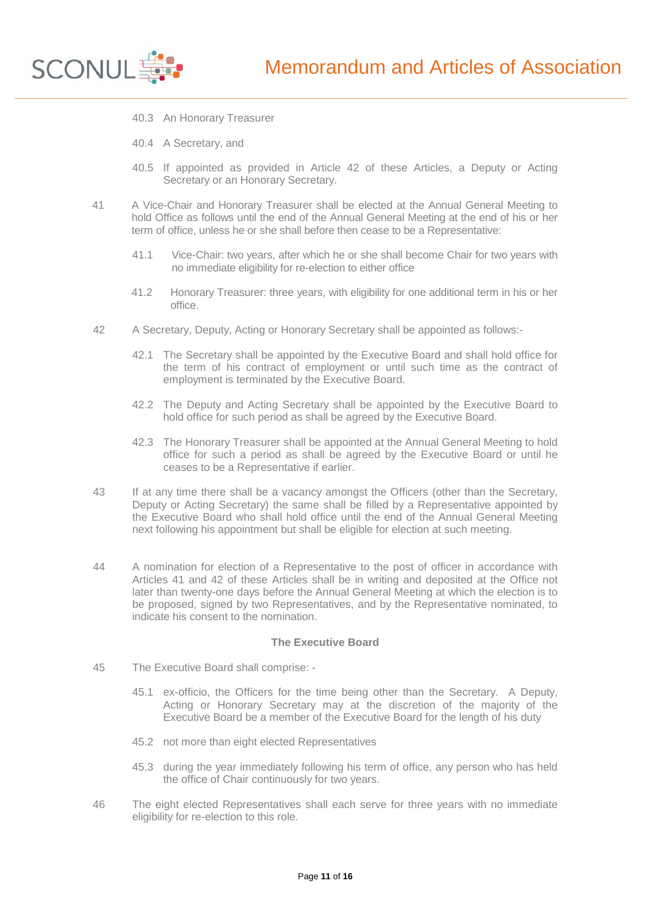

- 40.3 An Honorary Treasurer
- 40.4 A Secretary, and
- 40.5 If appointed as provided in Article 42 of these Articles, a Deputy or Acting Secretary or an Honorary Secretary.
- 41 A Vice-Chair and Honorary Treasurer shall be elected at the Annual General Meeting to hold Office as follows until the end of the Annual General Meeting at the end of his or her term of office, unless he or she shall before then cease to be a Representative:
	- 41.1 Vice-Chair: two years, after which he or she shall become Chair for two years with no immediate eligibility for re-election to either office
	- 41.2 Honorary Treasurer: three years, with eligibility for one additional term in his or her office.
- 42 A Secretary, Deputy, Acting or Honorary Secretary shall be appointed as follows:-
	- 42.1 The Secretary shall be appointed by the Executive Board and shall hold office for the term of his contract of employment or until such time as the contract of employment is terminated by the Executive Board.
	- 42.2 The Deputy and Acting Secretary shall be appointed by the Executive Board to hold office for such period as shall be agreed by the Executive Board.
	- 42.3 The Honorary Treasurer shall be appointed at the Annual General Meeting to hold office for such a period as shall be agreed by the Executive Board or until he ceases to be a Representative if earlier.
- 43 If at any time there shall be a vacancy amongst the Officers (other than the Secretary, Deputy or Acting Secretary) the same shall be filled by a Representative appointed by the Executive Board who shall hold office until the end of the Annual General Meeting next following his appointment but shall be eligible for election at such meeting.
- 44 A nomination for election of a Representative to the post of officer in accordance with Articles 41 and 42 of these Articles shall be in writing and deposited at the Office not later than twenty-one days before the Annual General Meeting at which the election is to be proposed, signed by two Representatives, and by the Representative nominated, to indicate his consent to the nomination.

#### **The Executive Board**

- 45 The Executive Board shall comprise:
	- 45.1 ex-officio, the Officers for the time being other than the Secretary. A Deputy, Acting or Honorary Secretary may at the discretion of the majority of the Executive Board be a member of the Executive Board for the length of his duty
	- 45.2 not more than eight elected Representatives
	- 45.3 during the year immediately following his term of office, any person who has held the office of Chair continuously for two years.
- 46 The eight elected Representatives shall each serve for three years with no immediate eligibility for re-election to this role.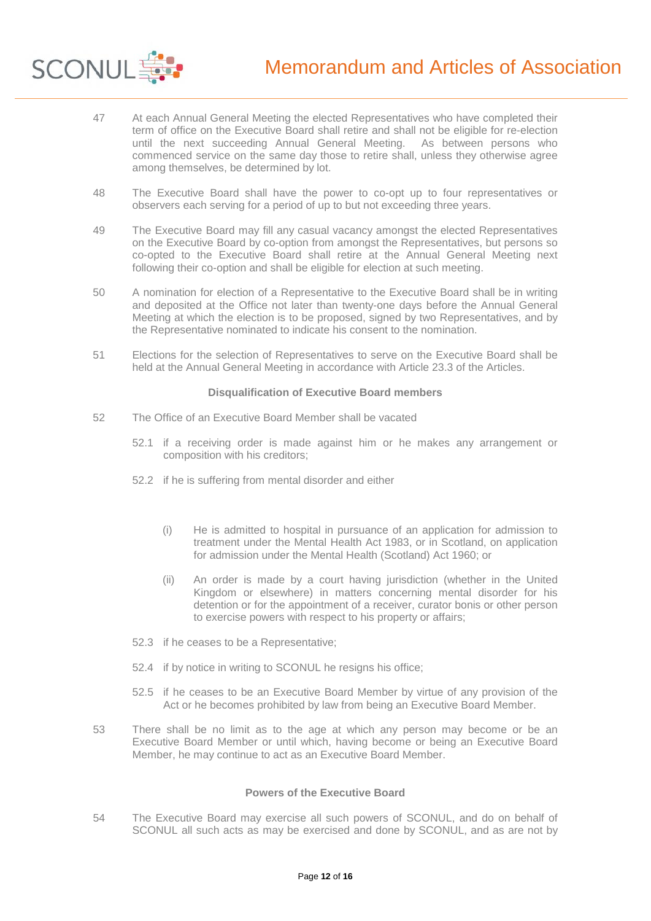

- 47 At each Annual General Meeting the elected Representatives who have completed their term of office on the Executive Board shall retire and shall not be eligible for re-election<br>until the next succeeding Annual General Meeting. As between persons who until the next succeeding Annual General Meeting. commenced service on the same day those to retire shall, unless they otherwise agree among themselves, be determined by lot.
- 48 The Executive Board shall have the power to co-opt up to four representatives or observers each serving for a period of up to but not exceeding three years.
- 49 The Executive Board may fill any casual vacancy amongst the elected Representatives on the Executive Board by co-option from amongst the Representatives, but persons so co-opted to the Executive Board shall retire at the Annual General Meeting next following their co-option and shall be eligible for election at such meeting.
- 50 A nomination for election of a Representative to the Executive Board shall be in writing and deposited at the Office not later than twenty-one days before the Annual General Meeting at which the election is to be proposed, signed by two Representatives, and by the Representative nominated to indicate his consent to the nomination.
- 51 Elections for the selection of Representatives to serve on the Executive Board shall be held at the Annual General Meeting in accordance with Article 23.3 of the Articles.

#### **Disqualification of Executive Board members**

- 52 The Office of an Executive Board Member shall be vacated
	- 52.1 if a receiving order is made against him or he makes any arrangement or composition with his creditors;
	- 52.2 if he is suffering from mental disorder and either
		- (i) He is admitted to hospital in pursuance of an application for admission to treatment under the Mental Health Act 1983, or in Scotland, on application for admission under the Mental Health (Scotland) Act 1960; or
		- (ii) An order is made by a court having jurisdiction (whether in the United Kingdom or elsewhere) in matters concerning mental disorder for his detention or for the appointment of a receiver, curator bonis or other person to exercise powers with respect to his property or affairs;
	- 52.3 if he ceases to be a Representative;
	- 52.4 if by notice in writing to SCONUL he resigns his office;
	- 52.5 if he ceases to be an Executive Board Member by virtue of any provision of the Act or he becomes prohibited by law from being an Executive Board Member.
- 53 There shall be no limit as to the age at which any person may become or be an Executive Board Member or until which, having become or being an Executive Board Member, he may continue to act as an Executive Board Member.

### **Powers of the Executive Board**

54 The Executive Board may exercise all such powers of SCONUL, and do on behalf of SCONUL all such acts as may be exercised and done by SCONUL, and as are not by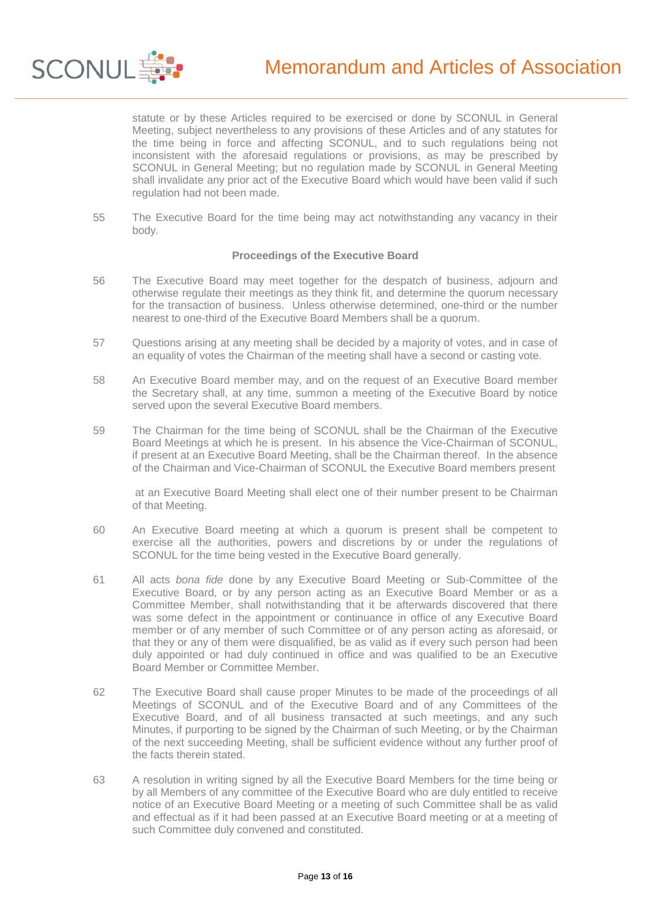

statute or by these Articles required to be exercised or done by SCONUL in General Meeting, subject nevertheless to any provisions of these Articles and of any statutes for the time being in force and affecting SCONUL, and to such regulations being not inconsistent with the aforesaid regulations or provisions, as may be prescribed by SCONUL in General Meeting; but no regulation made by SCONUL in General Meeting shall invalidate any prior act of the Executive Board which would have been valid if such regulation had not been made.

55 The Executive Board for the time being may act notwithstanding any vacancy in their body.

## **Proceedings of the Executive Board**

- 56 The Executive Board may meet together for the despatch of business, adjourn and otherwise regulate their meetings as they think fit, and determine the quorum necessary for the transaction of business. Unless otherwise determined, one-third or the number nearest to one-third of the Executive Board Members shall be a quorum.
- 57 Questions arising at any meeting shall be decided by a majority of votes, and in case of an equality of votes the Chairman of the meeting shall have a second or casting vote.
- 58 An Executive Board member may, and on the request of an Executive Board member the Secretary shall, at any time, summon a meeting of the Executive Board by notice served upon the several Executive Board members.
- 59 The Chairman for the time being of SCONUL shall be the Chairman of the Executive Board Meetings at which he is present. In his absence the Vice-Chairman of SCONUL, if present at an Executive Board Meeting, shall be the Chairman thereof. In the absence of the Chairman and Vice-Chairman of SCONUL the Executive Board members present

 at an Executive Board Meeting shall elect one of their number present to be Chairman of that Meeting.

- 60 An Executive Board meeting at which a quorum is present shall be competent to exercise all the authorities, powers and discretions by or under the regulations of SCONUL for the time being vested in the Executive Board generally.
- 61 All acts *bona fide* done by any Executive Board Meeting or Sub-Committee of the Executive Board, or by any person acting as an Executive Board Member or as a Committee Member, shall notwithstanding that it be afterwards discovered that there was some defect in the appointment or continuance in office of any Executive Board member or of any member of such Committee or of any person acting as aforesaid, or that they or any of them were disqualified, be as valid as if every such person had been duly appointed or had duly continued in office and was qualified to be an Executive Board Member or Committee Member.
- 62 The Executive Board shall cause proper Minutes to be made of the proceedings of all Meetings of SCONUL and of the Executive Board and of any Committees of the Executive Board, and of all business transacted at such meetings, and any such Minutes, if purporting to be signed by the Chairman of such Meeting, or by the Chairman of the next succeeding Meeting, shall be sufficient evidence without any further proof of the facts therein stated.
- 63 A resolution in writing signed by all the Executive Board Members for the time being or by all Members of any committee of the Executive Board who are duly entitled to receive notice of an Executive Board Meeting or a meeting of such Committee shall be as valid and effectual as if it had been passed at an Executive Board meeting or at a meeting of such Committee duly convened and constituted.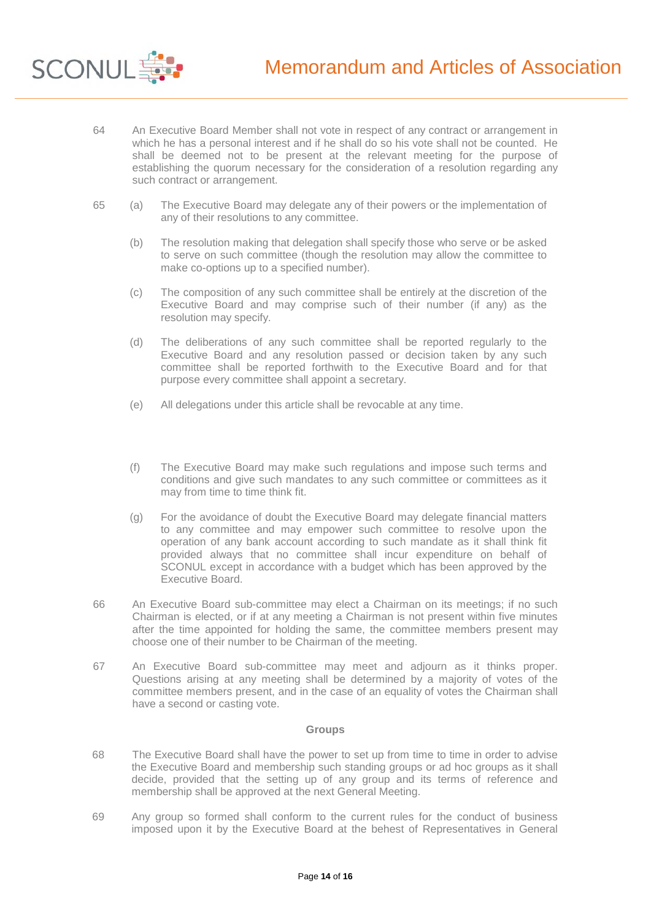

**SCONUL** 

- 65 (a) The Executive Board may delegate any of their powers or the implementation of any of their resolutions to any committee.
	- (b) The resolution making that delegation shall specify those who serve or be asked to serve on such committee (though the resolution may allow the committee to make co-options up to a specified number).
	- (c) The composition of any such committee shall be entirely at the discretion of the Executive Board and may comprise such of their number (if any) as the resolution may specify.
	- (d) The deliberations of any such committee shall be reported regularly to the Executive Board and any resolution passed or decision taken by any such committee shall be reported forthwith to the Executive Board and for that purpose every committee shall appoint a secretary.
	- (e) All delegations under this article shall be revocable at any time.
	- (f) The Executive Board may make such regulations and impose such terms and conditions and give such mandates to any such committee or committees as it may from time to time think fit.
	- (g) For the avoidance of doubt the Executive Board may delegate financial matters to any committee and may empower such committee to resolve upon the operation of any bank account according to such mandate as it shall think fit provided always that no committee shall incur expenditure on behalf of SCONUL except in accordance with a budget which has been approved by the Executive Board.
- 66 An Executive Board sub-committee may elect a Chairman on its meetings; if no such Chairman is elected, or if at any meeting a Chairman is not present within five minutes after the time appointed for holding the same, the committee members present may choose one of their number to be Chairman of the meeting.
- 67 An Executive Board sub-committee may meet and adjourn as it thinks proper. Questions arising at any meeting shall be determined by a majority of votes of the committee members present, and in the case of an equality of votes the Chairman shall have a second or casting vote.

### **Groups**

- 68 The Executive Board shall have the power to set up from time to time in order to advise the Executive Board and membership such standing groups or ad hoc groups as it shall decide, provided that the setting up of any group and its terms of reference and membership shall be approved at the next General Meeting.
- 69 Any group so formed shall conform to the current rules for the conduct of business imposed upon it by the Executive Board at the behest of Representatives in General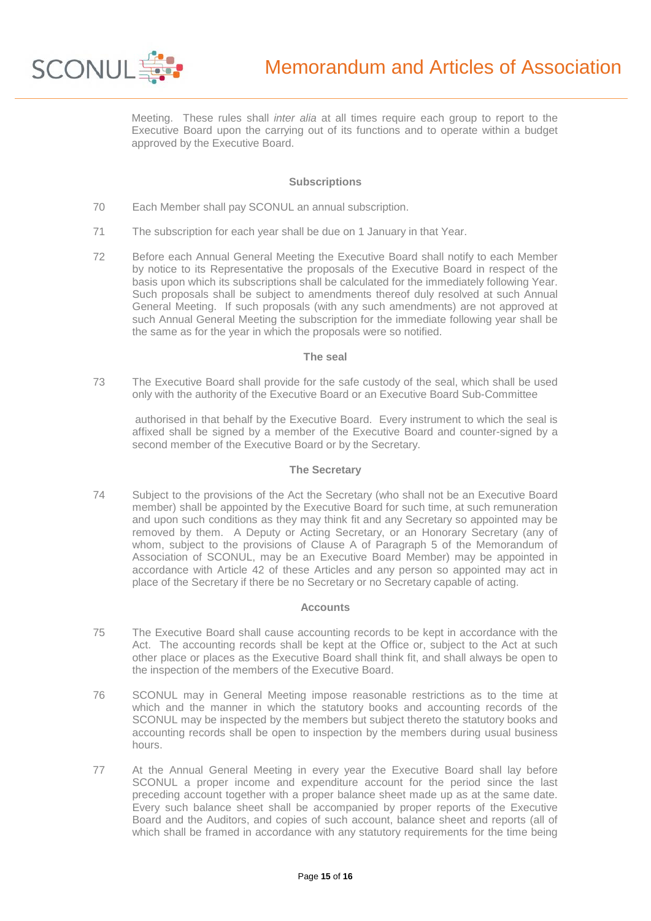

Meeting. These rules shall *inter alia* at all times require each group to report to the Executive Board upon the carrying out of its functions and to operate within a budget approved by the Executive Board.

## **Subscriptions**

- 70 Each Member shall pay SCONUL an annual subscription.
- 71 The subscription for each year shall be due on 1 January in that Year.
- 72 Before each Annual General Meeting the Executive Board shall notify to each Member by notice to its Representative the proposals of the Executive Board in respect of the basis upon which its subscriptions shall be calculated for the immediately following Year. Such proposals shall be subject to amendments thereof duly resolved at such Annual General Meeting. If such proposals (with any such amendments) are not approved at such Annual General Meeting the subscription for the immediate following year shall be the same as for the year in which the proposals were so notified.

### **The seal**

73 The Executive Board shall provide for the safe custody of the seal, which shall be used only with the authority of the Executive Board or an Executive Board Sub-Committee

 authorised in that behalf by the Executive Board. Every instrument to which the seal is affixed shall be signed by a member of the Executive Board and counter-signed by a second member of the Executive Board or by the Secretary.

### **The Secretary**

74 Subject to the provisions of the Act the Secretary (who shall not be an Executive Board member) shall be appointed by the Executive Board for such time, at such remuneration and upon such conditions as they may think fit and any Secretary so appointed may be removed by them. A Deputy or Acting Secretary, or an Honorary Secretary (any of whom, subject to the provisions of Clause A of Paragraph 5 of the Memorandum of Association of SCONUL, may be an Executive Board Member) may be appointed in accordance with Article 42 of these Articles and any person so appointed may act in place of the Secretary if there be no Secretary or no Secretary capable of acting.

# **Accounts**

- 75 The Executive Board shall cause accounting records to be kept in accordance with the Act. The accounting records shall be kept at the Office or, subject to the Act at such other place or places as the Executive Board shall think fit, and shall always be open to the inspection of the members of the Executive Board.
- 76 SCONUL may in General Meeting impose reasonable restrictions as to the time at which and the manner in which the statutory books and accounting records of the SCONUL may be inspected by the members but subject thereto the statutory books and accounting records shall be open to inspection by the members during usual business hours.
- 77 At the Annual General Meeting in every year the Executive Board shall lay before SCONUL a proper income and expenditure account for the period since the last preceding account together with a proper balance sheet made up as at the same date. Every such balance sheet shall be accompanied by proper reports of the Executive Board and the Auditors, and copies of such account, balance sheet and reports (all of which shall be framed in accordance with any statutory requirements for the time being